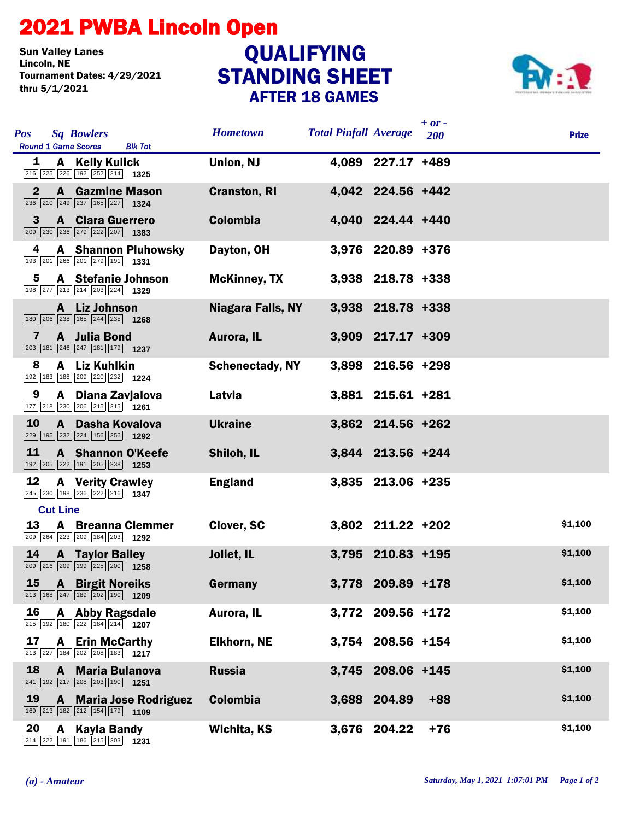## 2021 PWBA Lincoln Open

**Sun Valley Lanes<br>Lincoln, NE** Tournament Dates: 4/29/2021 thru 5/1/2021

## STANDING SHEET AFTER 18 GAMES QUALIFYING



| <b>Pos</b><br><b>Sq Bowlers</b><br><b>Round 1 Game Scores</b><br><b>Blk Tot</b>                                              | <b>Hometown</b>          | <b>Total Pinfall Average</b> |                   | $+ or -$<br><b>200</b> | <b>Prize</b> |
|------------------------------------------------------------------------------------------------------------------------------|--------------------------|------------------------------|-------------------|------------------------|--------------|
| A Kelly Kulick<br>1<br>216 225 226 192 252 214 1325                                                                          | Union, NJ                |                              | 4,089 227.17 +489 |                        |              |
| <b>A</b> Gazmine Mason<br>$\mathbf{2}$                                                                                       | <b>Cranston, RI</b>      |                              | 4,042 224.56 +442 |                        |              |
| 3<br><b>A</b> Clara Guerrero<br>209 230 236 279 222 207 1383                                                                 | <b>Colombia</b>          |                              | 4,040 224.44 +440 |                        |              |
| 4<br><b>A</b> Shannon Pluhowsky<br>193 201 266 201 279 191 1331                                                              | Dayton, OH               |                              | 3,976 220.89 +376 |                        |              |
| 5<br>A Stefanie Johnson<br>198 277 213 214 203 224 1329                                                                      | <b>McKinney, TX</b>      |                              | 3,938 218.78 +338 |                        |              |
| A Liz Johnson<br>180 206 238 165 244 235 1268                                                                                | <b>Niagara Falls, NY</b> |                              | 3,938 218.78 +338 |                        |              |
| A Julia Bond<br>7<br>$\boxed{203}$ 181 246 247 181 179 1237                                                                  | Aurora, IL               |                              | 3,909 217.17 +309 |                        |              |
| A Liz Kuhlkin<br>8<br>192 183 188 209 220 232 1224                                                                           | <b>Schenectady, NY</b>   |                              | 3,898 216.56 +298 |                        |              |
| A Diana Zavjalova<br>9<br>$\boxed{177}$ $\boxed{218}$ $\boxed{230}$ $\boxed{206}$ $\boxed{215}$ $\boxed{215}$ $\boxed{1261}$ | Latvia                   |                              | 3,881 215.61 +281 |                        |              |
| <b>10</b><br>A Dasha Kovalova<br>229 195 232 224 156 256 1292                                                                | <b>Ukraine</b>           |                              | 3,862 214.56 +262 |                        |              |
| 11<br>A Shannon O'Keefe<br>192 205 222 191 205 238 1253                                                                      | Shiloh, IL               |                              | 3,844 213.56 +244 |                        |              |
| 12<br><b>A</b> Verity Crawley<br>245 230 198 236 222 216 1347                                                                | <b>England</b>           |                              | 3,835 213.06 +235 |                        |              |
| <b>Cut Line</b>                                                                                                              |                          |                              |                   |                        |              |
| 13<br><b>A</b> Breanna Clemmer<br>209 264 223 209 184 203 1292                                                               | <b>Clover, SC</b>        |                              | 3,802 211.22 +202 |                        | \$1,100      |
| 14<br><b>A</b> Taylor Bailey<br>209 216 209 199 225 200 1258                                                                 | Joliet, IL               |                              | 3,795 210.83 +195 |                        | \$1,100      |
| <b>15 A Birgit Noreiks</b><br>213 168 247 189 202 190 1209                                                                   | Germany                  |                              | 3,778 209.89 +178 |                        | \$1,100      |
| 16<br>A Abby Ragsdale<br>$\boxed{215}$ 192 180 222 184 214 1207                                                              | Aurora, IL               |                              | 3,772 209.56 +172 |                        | \$1,100      |
| 17<br><b>A</b> Erin McCarthy<br>213 227 184 202 208 183 1217                                                                 | <b>Elkhorn, NE</b>       |                              | 3,754 208.56 +154 |                        | \$1,100      |
| 18<br>A Maria Bulanova<br>241 192 217 208 203 190 1251                                                                       | <b>Russia</b>            |                              | 3,745 208.06 +145 |                        | \$1,100      |
| 19<br>A Maria Jose Rodriguez<br>169 213 182 212 154 179 1109                                                                 | <b>Colombia</b>          |                              | 3,688 204.89      | $+88$                  | \$1,100      |
| 20<br>$\mathbf{A}$<br>Kayla Bandy<br>214 222 191 186 215 203 1231                                                            | <b>Wichita, KS</b>       |                              | 3,676 204.22      | $+76$                  | \$1,100      |